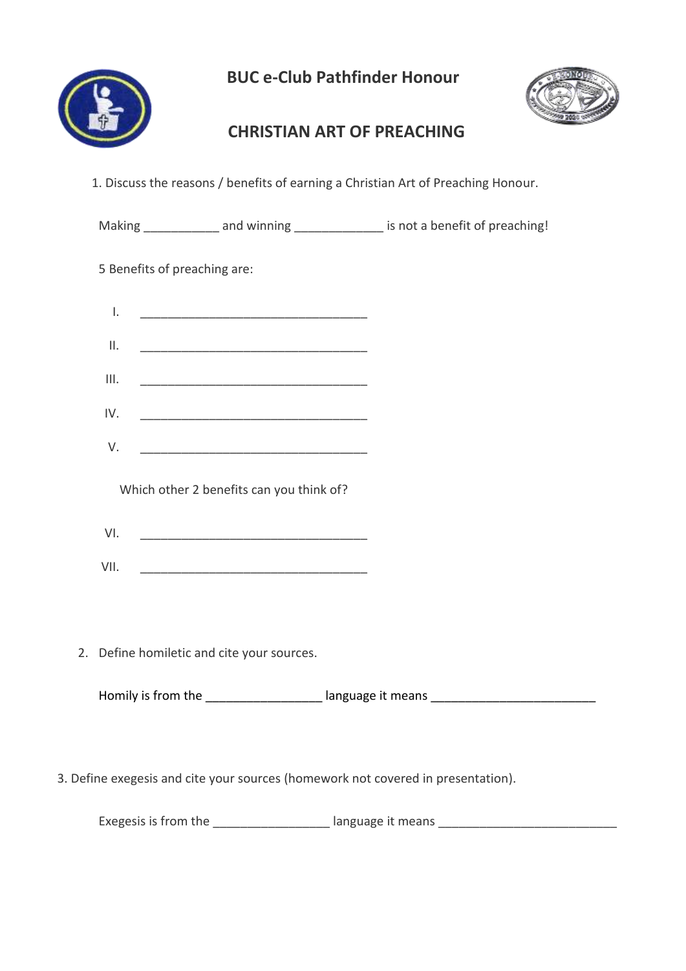

 **BUC e-Club Pathfinder Honour**



## **CHRISTIAN ART OF PREACHING**

1. Discuss the reasons / benefits of earning a Christian Art of Preaching Honour.

|                                                                                  |                                            |                                          | Making _______________ and winning ________________ is not a benefit of preaching! |  |  |
|----------------------------------------------------------------------------------|--------------------------------------------|------------------------------------------|------------------------------------------------------------------------------------|--|--|
|                                                                                  | 5 Benefits of preaching are:               |                                          |                                                                                    |  |  |
|                                                                                  | $\mathsf{L}$                               |                                          |                                                                                    |  |  |
|                                                                                  | $\mathsf{II}.$                             |                                          |                                                                                    |  |  |
|                                                                                  | III.                                       |                                          |                                                                                    |  |  |
|                                                                                  | IV.                                        |                                          |                                                                                    |  |  |
|                                                                                  | V.                                         |                                          |                                                                                    |  |  |
|                                                                                  |                                            | Which other 2 benefits can you think of? |                                                                                    |  |  |
|                                                                                  | VI.                                        |                                          |                                                                                    |  |  |
|                                                                                  | VII.                                       |                                          |                                                                                    |  |  |
|                                                                                  |                                            |                                          |                                                                                    |  |  |
|                                                                                  | 2. Define homiletic and cite your sources. |                                          |                                                                                    |  |  |
|                                                                                  |                                            |                                          | Homily is from the _____________________ language it means ______________________  |  |  |
|                                                                                  |                                            |                                          |                                                                                    |  |  |
| 3. Define exegesis and cite your sources (homework not covered in presentation). |                                            |                                          |                                                                                    |  |  |
|                                                                                  |                                            |                                          | Exegesis is from the ____________________ language it means ____________________   |  |  |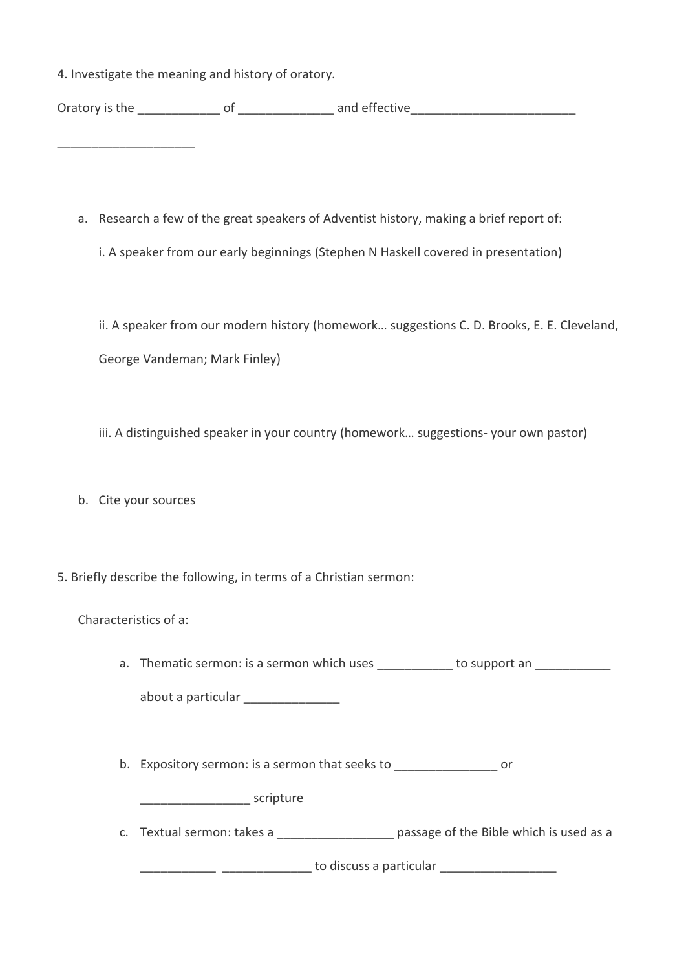4. Investigate the meaning and history of oratory.

Oratory is the example of the contract and effective

- a. Research a few of the great speakers of Adventist history, making a brief report of:
	- i. A speaker from our early beginnings (Stephen N Haskell covered in presentation)

ii. A speaker from our modern history (homework… suggestions C. D. Brooks, E. E. Cleveland, George Vandeman; Mark Finley)

iii. A distinguished speaker in your country (homework… suggestions- your own pastor)

b. Cite your sources

\_\_\_\_\_\_\_\_\_\_\_\_\_\_\_\_\_\_\_\_

5. Briefly describe the following, in terms of a Christian sermon:

| Characteristics of a: |  |
|-----------------------|--|
|-----------------------|--|

| a. Thematic sermon: is a sermon which uses | to support an |
|--------------------------------------------|---------------|
| about a particular                         |               |
|                                            |               |

b. Expository sermon: is a sermon that seeks to \_\_\_\_\_\_\_\_\_\_\_\_\_\_\_\_\_\_\_\_\_ or

external scripture

c. Textual sermon: takes a \_\_\_\_\_\_\_\_\_\_\_\_\_\_\_\_\_\_\_ passage of the Bible which is used as a

\_\_\_\_\_\_\_\_\_\_\_ \_\_\_\_\_\_\_\_\_\_\_\_\_ to discuss a particular \_\_\_\_\_\_\_\_\_\_\_\_\_\_\_\_\_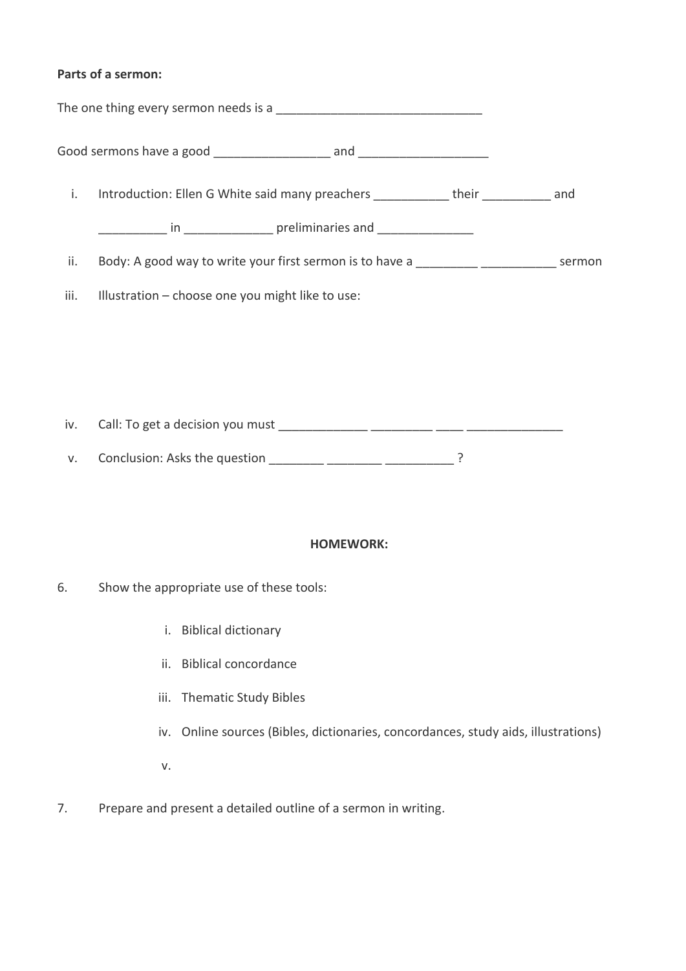## **Parts of a sermon:**

| i.   | Introduction: Ellen G White said many preachers ____________ their __________ and                                                                                                                                              |  |
|------|--------------------------------------------------------------------------------------------------------------------------------------------------------------------------------------------------------------------------------|--|
|      | and the same preliminaries and the same state of the same state of the same state of the same state of the same state of the same state of the same state of the same state of the same state of the same state of the same st |  |
| ii.  | Body: A good way to write your first sermon is to have a                                                                                                                                                                       |  |
| iii. | Illustration – choose one you might like to use:                                                                                                                                                                               |  |
|      |                                                                                                                                                                                                                                |  |

iv. Call: To get a decision you must \_\_\_\_\_\_\_\_\_\_\_\_\_ \_\_\_\_\_\_\_\_\_ \_\_\_\_ \_\_\_\_\_\_\_\_\_\_\_\_\_\_

v. Conclusion: Asks the question \_\_\_\_\_\_\_\_ \_\_\_\_\_\_\_\_ \_\_\_\_\_\_\_\_\_\_ ?

## **HOMEWORK:**

- 6. Show the appropriate use of these tools:
	- i. Biblical dictionary
	- ii. Biblical concordance
	- iii. Thematic Study Bibles
	- iv. Online sources (Bibles, dictionaries, concordances, study aids, illustrations)
	- v.
- 7. Prepare and present a detailed outline of a sermon in writing.